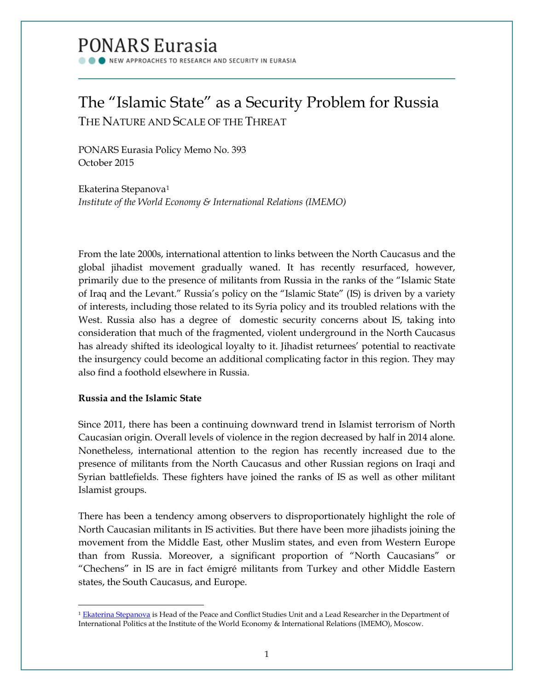# PONARS Eurasia

NEW APPROACHES TO RESEARCH AND SECURITY IN EURASIA

# The "Islamic State" as a Security Problem for Russia THE NATURE AND SCALE OF THE THREAT

PONARS Eurasia Policy Memo No. 393 October 2015

Ekaterina Stepanova[1](#page-0-0) *Institute of the World Economy & International Relations (IMEMO)*

From the late 2000s, international attention to links between the North Caucasus and the global jihadist movement gradually waned. It has recently resurfaced, however, primarily due to the presence of militants from Russia in the ranks of the "Islamic State of Iraq and the Levant." Russia's policy on the "Islamic State" (IS) is driven by a variety of interests, including those related to its Syria policy and its troubled relations with the West. Russia also has a degree of domestic security concerns about IS, taking into consideration that much of the fragmented, violent underground in the North Caucasus has already shifted its ideological loyalty to it. Jihadist returnees' potential to reactivate the insurgency could become an additional complicating factor in this region. They may also find a foothold elsewhere in Russia.

# **Russia and the Islamic State**

 $\overline{\phantom{a}}$ 

Since 2011, there has been a continuing downward trend in Islamist terrorism of North Caucasian origin. Overall levels of violence in the region decreased by half in 2014 alone. Nonetheless, international attention to the region has recently increased due to the presence of militants from the North Caucasus and other Russian regions on Iraqi and Syrian battlefields. These fighters have joined the ranks of IS as well as other militant Islamist groups.

There has been a tendency among observers to disproportionately highlight the role of North Caucasian militants in IS activities. But there have been more jihadists joining the movement from the Middle East, other Muslim states, and even from Western Europe than from Russia. Moreover, a significant proportion of "North Caucasians" or "Chechens" in IS are in fact émigré militants from Turkey and other Middle Eastern states, the South Caucasus, and Europe.

<span id="page-0-0"></span><sup>&</sup>lt;sup>1</sup> [Ekaterina Stepanova](http://www.ponarseurasia.org/members/ekaterina-stepanova) is Head of the Peace and Conflict Studies Unit and a Lead Researcher in the Department of International Politics at the Institute of the World Economy & International Relations (IMEMO), Moscow.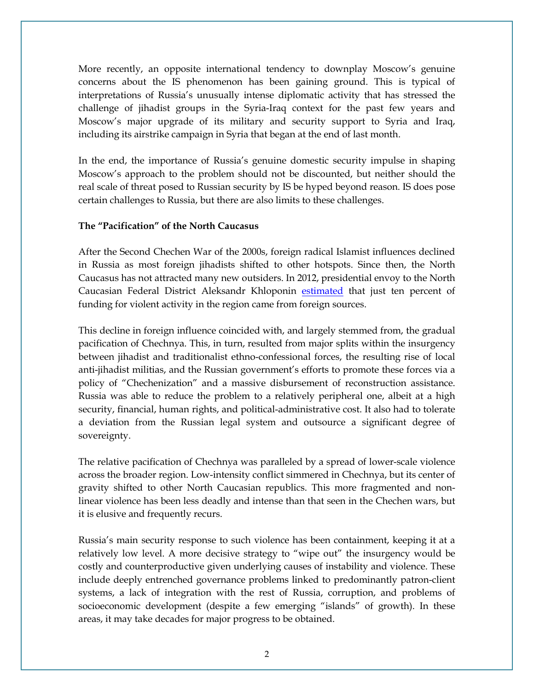More recently, an opposite international tendency to downplay Moscow's genuine concerns about the IS phenomenon has been gaining ground. This is typical of interpretations of Russia's unusually intense diplomatic activity that has stressed the challenge of jihadist groups in the Syria-Iraq context for the past few years and Moscow's major upgrade of its military and security support to Syria and Iraq, including its airstrike campaign in Syria that began at the end of last month.

In the end, the importance of Russia's genuine domestic security impulse in shaping Moscow's approach to the problem should not be discounted, but neither should the real scale of threat posed to Russian security by IS be hyped beyond reason. IS does pose certain challenges to Russia, but there are also limits to these challenges.

# **The "Pacification" of the North Caucasus**

After the Second Chechen War of the 2000s, foreign radical Islamist influences declined in Russia as most foreign jihadists shifted to other hotspots. Since then, the North Caucasus has not attracted many new outsiders. In 2012, presidential envoy to the North Caucasian Federal District Aleksandr Khloponin [estimated](http://www.ng.ru/regions/2012-11-20/1_rezerv.html) that just ten percent of funding for violent activity in the region came from foreign sources.

This decline in foreign influence coincided with, and largely stemmed from, the gradual pacification of Chechnya. This, in turn, resulted from major splits within the insurgency between jihadist and traditionalist ethno-confessional forces, the resulting rise of local anti-jihadist militias, and the Russian government's efforts to promote these forces via a policy of "Chechenization" and a massive disbursement of reconstruction assistance. Russia was able to reduce the problem to a relatively peripheral one, albeit at a high security, financial, human rights, and political-administrative cost. It also had to tolerate a deviation from the Russian legal system and outsource a significant degree of sovereignty.

The relative pacification of Chechnya was paralleled by a spread of lower-scale violence across the broader region. Low-intensity conflict simmered in Chechnya, but its center of gravity shifted to other North Caucasian republics. This more fragmented and nonlinear violence has been less deadly and intense than that seen in the Chechen wars, but it is elusive and frequently recurs.

Russia's main security response to such violence has been containment, keeping it at a relatively low level. A more decisive strategy to "wipe out" the insurgency would be costly and counterproductive given underlying causes of instability and violence. These include deeply entrenched governance problems linked to predominantly patron-client systems, a lack of integration with the rest of Russia, corruption, and problems of socioeconomic development (despite a few emerging "islands" of growth). In these areas, it may take decades for major progress to be obtained.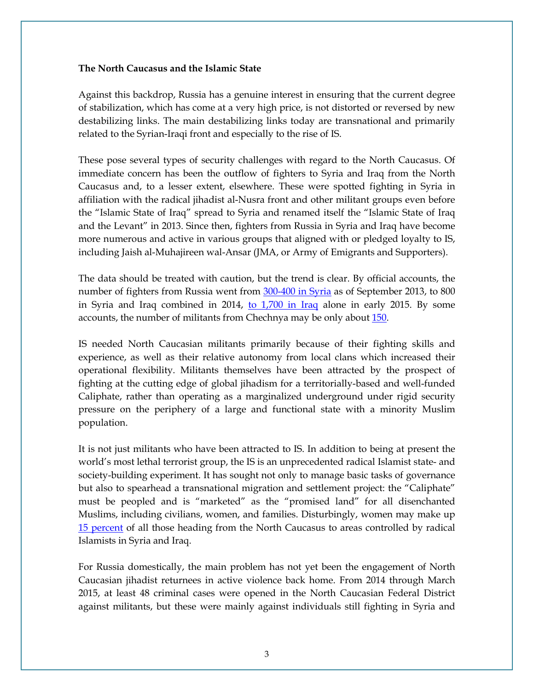#### **The North Caucasus and the Islamic State**

Against this backdrop, Russia has a genuine interest in ensuring that the current degree of stabilization, which has come at a very high price, is not distorted or reversed by new destabilizing links. The main destabilizing links today are transnational and primarily related to the Syrian-Iraqi front and especially to the rise of IS.

These pose several types of security challenges with regard to the North Caucasus. Of immediate concern has been the outflow of fighters to Syria and Iraq from the North Caucasus and, to a lesser extent, elsewhere. These were spotted fighting in Syria in affiliation with the radical jihadist al-Nusra front and other militant groups even before the "Islamic State of Iraq" spread to Syria and renamed itself the "Islamic State of Iraq and the Levant" in 2013. Since then, fighters from Russia in Syria and Iraq have become more numerous and active in various groups that aligned with or pledged loyalty to IS, including Jaish al-Muhajireen wal-Ansar (JMA, or Army of Emigrants and Supporters).

The data should be treated with caution, but the trend is clear. By official accounts, the number of fighters from Russia went from [300-400 in Syria](http://ria.ru/arab_riot/20130920/964662999.html) as of September 2013, to 800 in Syria and Iraq combined in 2014, [to 1,700 in Iraq](http://www.themoscowtimes.com/article.php?id=516282) alone in early 2015. By some accounts, the number of militants from Chechnya may be only abou[t 150.](http://www.ng.ru/ideas/2015-03-06/5_crisis.html)

IS needed North Caucasian militants primarily because of their fighting skills and experience, as well as their relative autonomy from local clans which increased their operational flexibility. Militants themselves have been attracted by the prospect of fighting at the cutting edge of global jihadism for a territorially-based and well-funded Caliphate, rather than operating as a marginalized underground under rigid security pressure on the periphery of a large and functional state with a minority Muslim population.

It is not just militants who have been attracted to IS. In addition to being at present the world's most lethal terrorist group, the IS is an unprecedented radical Islamist state- and society-building experiment. It has sought not only to manage basic tasks of governance but also to spearhead a transnational migration and settlement project: the "Caliphate" must be peopled and is "marketed" as the "promised land" for all disenchanted Muslims, including civilians, women, and families. Disturbingly, women may make up [15 percent](http://www.ng.ru/ng_politics/2015-06-02/14_islam.html) of all those heading from the North Caucasus to areas controlled by radical Islamists in Syria and Iraq.

For Russia domestically, the main problem has not yet been the engagement of North Caucasian jihadist returnees in active violence back home. From 2014 through March 2015, at least 48 criminal cases were opened in the North Caucasian Federal District against militants, but these were mainly against individuals still fighting in Syria and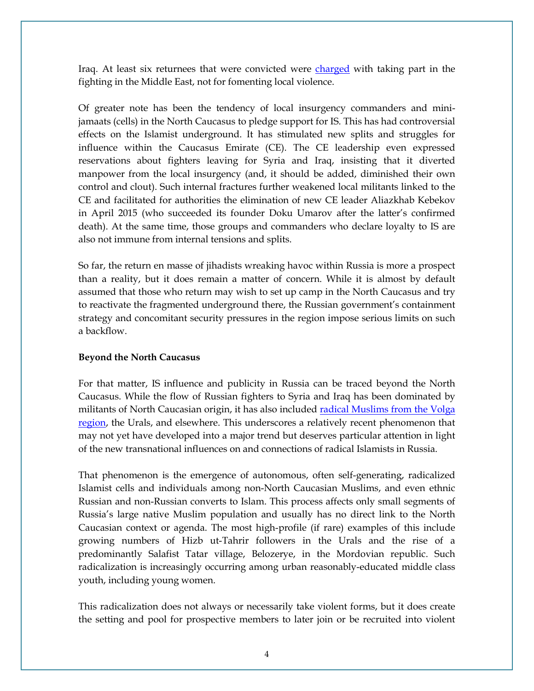Iraq. At least six returnees that were convicted were [charged](http://www.kavkaz-uzel.ru/articles/258803) with taking part in the fighting in the Middle East, not for fomenting local violence.

Of greater note has been the tendency of local insurgency commanders and minijamaats (cells) in the North Caucasus to pledge support for IS. This has had controversial effects on the Islamist underground. It has stimulated new splits and struggles for influence within the Caucasus Emirate (CE). The CE leadership even expressed reservations about fighters leaving for Syria and Iraq, insisting that it diverted manpower from the local insurgency (and, it should be added, diminished their own control and clout). Such internal fractures further weakened local militants linked to the CE and facilitated for authorities the elimination of new CE leader Aliazkhab Kebekov in April 2015 (who succeeded its founder Doku Umarov after the latter's confirmed death). At the same time, those groups and commanders who declare loyalty to IS are also not immune from internal tensions and splits.

So far, the return en masse of jihadists wreaking havoc within Russia is more a prospect than a reality, but it does remain a matter of concern. While it is almost by default assumed that those who return may wish to set up camp in the North Caucasus and try to reactivate the fragmented underground there, the Russian government's containment strategy and concomitant security pressures in the region impose serious limits on such a backflow.

# **Beyond the North Caucasus**

For that matter, IS influence and publicity in Russia can be traced beyond the North Caucasus. While the flow of Russian fighters to Syria and Iraq has been dominated by militants of North Caucasian origin, it has also included radical Muslims from the Volga [region,](http://www.interfax.ru/russia/447728) the Urals, and elsewhere. This underscores a relatively recent phenomenon that may not yet have developed into a major trend but deserves particular attention in light of the new transnational influences on and connections of radical Islamists in Russia.

That phenomenon is the emergence of autonomous, often self-generating, radicalized Islamist cells and individuals among non-North Caucasian Muslims, and even ethnic Russian and non-Russian converts to Islam. This process affects only small segments of Russia's large native Muslim population and usually has no direct link to the North Caucasian context or agenda. The most high-profile (if rare) examples of this include growing numbers of Hizb ut-Tahrir followers in the Urals and the rise of a predominantly Salafist Tatar village, Belozerye, in the Mordovian republic. Such radicalization is increasingly occurring among urban reasonably-educated middle class youth, including young women.

This radicalization does not always or necessarily take violent forms, but it does create the setting and pool for prospective members to later join or be recruited into violent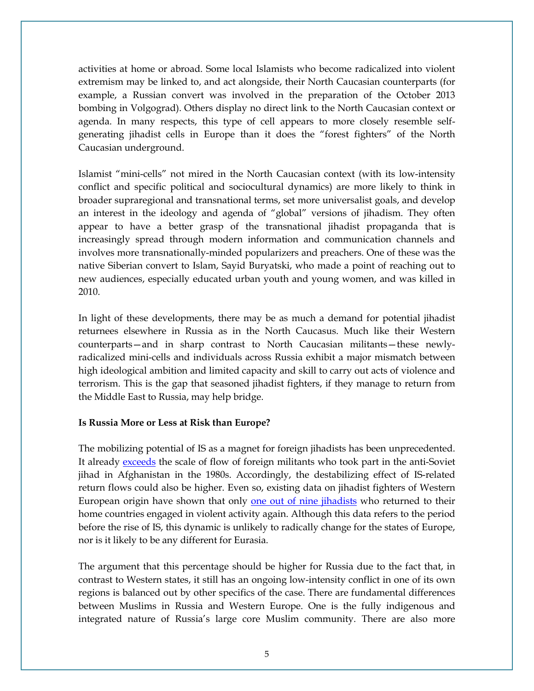activities at home or abroad. Some local Islamists who become radicalized into violent extremism may be linked to, and act alongside, their North Caucasian counterparts (for example, a Russian convert was involved in the preparation of the October 2013 bombing in Volgograd). Others display no direct link to the North Caucasian context or agenda. In many respects, this type of cell appears to more closely resemble selfgenerating jihadist cells in Europe than it does the "forest fighters" of the North Caucasian underground.

Islamist "mini-cells" not mired in the North Caucasian context (with its low-intensity conflict and specific political and sociocultural dynamics) are more likely to think in broader supraregional and transnational terms, set more universalist goals, and develop an interest in the ideology and agenda of "global" versions of jihadism. They often appear to have a better grasp of the transnational jihadist propaganda that is increasingly spread through modern information and communication channels and involves more transnationally-minded popularizers and preachers. One of these was the native Siberian convert to Islam, Sayid Buryatski, who made a point of reaching out to new audiences, especially educated urban youth and young women, and was killed in 2010.

In light of these developments, there may be as much a demand for potential jihadist returnees elsewhere in Russia as in the North Caucasus. Much like their Western counterparts—and in sharp contrast to North Caucasian militants—these newlyradicalized mini-cells and individuals across Russia exhibit a major mismatch between high ideological ambition and limited capacity and skill to carry out acts of violence and terrorism. This is the gap that seasoned jihadist fighters, if they manage to return from the Middle East to Russia, may help bridge.

# **Is Russia More or Less at Risk than Europe?**

The mobilizing potential of IS as a magnet for foreign jihadists has been unprecedented. It already [exceeds](http://icsr.info/2015/01/foreign-fighter-total-syriairaq-now-exceeds-20000-surpasses-afghanistan-conflict-1980s/) the scale of flow of foreign militants who took part in the anti-Soviet jihad in Afghanistan in the 1980s. Accordingly, the destabilizing effect of IS-related return flows could also be higher. Even so, existing data on jihadist fighters of Western European origin have shown that only [one out of nine jihadists](http://hegghammer.com/_files/Hegghammer_-_Should_I_stay_or_should_I_go.pdf) who returned to their home countries engaged in violent activity again. Although this data refers to the period before the rise of IS, this dynamic is unlikely to radically change for the states of Europe, nor is it likely to be any different for Eurasia.

The argument that this percentage should be higher for Russia due to the fact that, in contrast to Western states, it still has an ongoing low-intensity conflict in one of its own regions is balanced out by other specifics of the case. There are fundamental differences between Muslims in Russia and Western Europe. One is the fully indigenous and integrated nature of Russia's large core Muslim community. There are also more